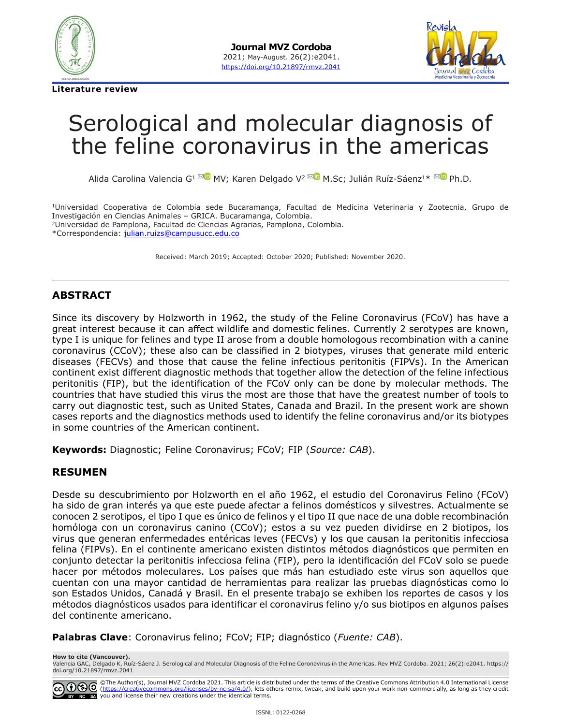

**Literature review**



# Serological and molecular diagnosis of the feline coronavirus in the americas

Alida Carolina Valencia G<sup>[1](mailto:alidaval23%40hotmail.com?subject=) MD</sup>MV; Karen Delgado V<sup>2</sup> <sup>MD</sup> M.Sc; Julián Ruíz-Sáenz<sup>1\* MD</sup> Ph.D.

1Universidad Cooperativa de Colombia sede Bucaramanga, Facultad de Medicina Veterinaria y Zootecnia, Grupo de Investigación en Ciencias Animales – GRICA. Bucaramanga, Colombia. 2Universidad de Pamplona, Facultad de Ciencias Agrarias, Pamplona, Colombia. \*Correspondencia: [julian.ruizs@campusucc.edu.co](mailto:julian.ruizs@campusucc.edu.co)

Received: March 2019; Accepted: October 2020; Published: November 2020.

#### **ABSTRACT**

Since its discovery by Holzworth in 1962, the study of the Feline Coronavirus (FCoV) has have a great interest because it can affect wildlife and domestic felines. Currently 2 serotypes are known, type I is unique for felines and type II arose from a double homologous recombination with a canine coronavirus (CCoV); these also can be classified in 2 biotypes, viruses that generate mild enteric diseases (FECVs) and those that cause the feline infectious peritonitis (FIPVs). In the American continent exist different diagnostic methods that together allow the detection of the feline infectious peritonitis (FIP), but the identification of the FCoV only can be done by molecular methods. The countries that have studied this virus the most are those that have the greatest number of tools to carry out diagnostic test, such as United States, Canada and Brazil. In the present work are shown cases reports and the diagnostics methods used to identify the feline coronavirus and/or its biotypes in some countries of the American continent.

**Keywords:** Diagnostic; Feline Coronavirus; FCoV; FIP (*Source: CAB*).

#### **RESUMEN**

Desde su descubrimiento por Holzworth en el año 1962, el estudio del Coronavirus Felino (FCoV) ha sido de gran interés ya que este puede afectar a felinos domésticos y silvestres. Actualmente se conocen 2 serotipos, el tipo I que es único de felinos y el tipo II que nace de una doble recombinación homóloga con un coronavirus canino (CCoV); estos a su vez pueden dividirse en 2 biotipos, los virus que generan enfermedades entéricas leves (FECVs) y los que causan la peritonitis infecciosa felina (FIPVs). En el continente americano existen distintos métodos diagnósticos que permiten en conjunto detectar la peritonitis infecciosa felina (FIP), pero la identificación del FCoV solo se puede hacer por métodos moleculares. Los países que más han estudiado este virus son aquellos que cuentan con una mayor cantidad de herramientas para realizar las pruebas diagnósticas como lo son Estados Unidos, Canadá y Brasil. En el presente trabajo se exhiben los reportes de casos y los métodos diagnósticos usados para identificar el coronavirus felino y/o sus biotipos en algunos países del continente americano.

**Palabras Clave**: Coronavirus felino; FCoV; FIP; diagnóstico (*Fuente: CAB*).

**How to cite (Vancouver).** Valencia GAC, Delgado K, Ruíz-Sáenz J. Serological and Molecular Diagnosis of the Feline Coronavirus in the Americas. Rev MVZ Cordoba. 2021; 26(2):e2041. [https://](https://doi.org/10.21897/rmvz.2041) [doi.org/10.21897/rmvz.](https://doi.org/10.21897/rmvz.2041)2041

©The Author(s), Journal MVZ Cordoba 2021. This article is distributed under the terms of the Creative Commons Attribution 4.0 International License<br>(<u><https://creativecommons.org/licenses/by-nc-sa/4.0/></u>), lets others remix, NC SA you and license their new creations under the identical terms.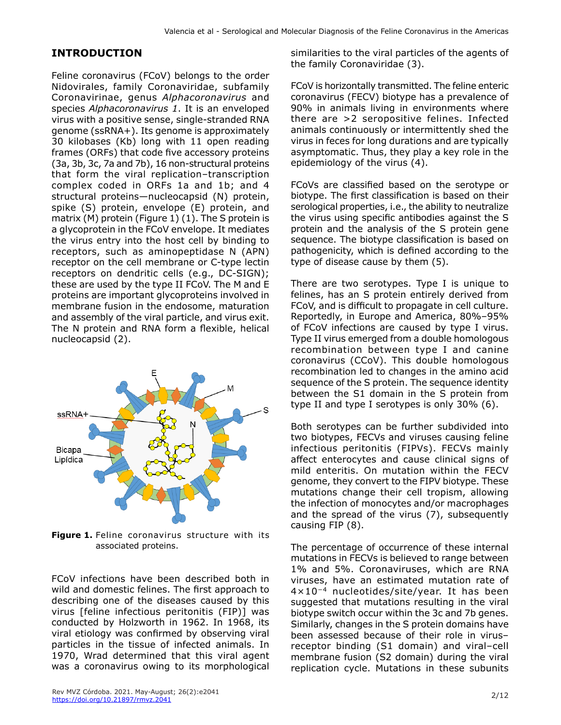#### **INTRODUCTION**

Feline coronavirus (FCoV) belongs to the order Nidovirales, family Coronaviridae, subfamily Coronavirinae, genus *Alphacoronavirus* and species *Alphacoronavirus 1*. It is an enveloped virus with a positive sense, single-stranded RNA genome (ssRNA+). Its genome is approximately 30 kilobases (Kb) long with 11 open reading frames (ORFs) that code five accessory proteins (3a, 3b, 3c, 7a and 7b), 16 non-structural proteins that form the viral replication–transcription complex coded in ORFs 1a and 1b; and 4 structural proteins—nucleocapsid (N) protein, spike (S) protein, envelope (E) protein, and matrix (M) protein (Figure 1) (1). The S protein is a glycoprotein in the FCoV envelope. It mediates the virus entry into the host cell by binding to receptors, such as aminopeptidase N (APN) receptor on the cell membrane or C-type lectin receptors on dendritic cells (e.g., DC-SIGN); these are used by the type II FCoV. The M and E proteins are important glycoproteins involved in membrane fusion in the endosome, maturation and assembly of the viral particle, and virus exit. The N protein and RNA form a flexible, helical nucleocapsid (2).



**Figure 1.** Feline coronavirus structure with its associated proteins.

FCoV infections have been described both in wild and domestic felines. The first approach to describing one of the diseases caused by this virus [feline infectious peritonitis (FIP)] was conducted by Holzworth in 1962. In 1968, its viral etiology was confirmed by observing viral particles in the tissue of infected animals. In 1970, Wrad determined that this viral agent was a coronavirus owing to its morphological similarities to the viral particles of the agents of the family Coronaviridae (3).

FCoV is horizontally transmitted. The feline enteric coronavirus (FECV) biotype has a prevalence of 90% in animals living in environments where there are >2 seropositive felines. Infected animals continuously or intermittently shed the virus in feces for long durations and are typically asymptomatic. Thus, they play a key role in the epidemiology of the virus (4).

FCoVs are classified based on the serotype or biotype. The first classification is based on their serological properties, i.e., the ability to neutralize the virus using specific antibodies against the S protein and the analysis of the S protein gene sequence. The biotype classification is based on pathogenicity, which is defined according to the type of disease cause by them (5).

There are two serotypes. Type I is unique to felines, has an S protein entirely derived from FCoV, and is difficult to propagate in cell culture. Reportedly, in Europe and America, 80%–95% of FCoV infections are caused by type I virus. Type II virus emerged from a double homologous recombination between type I and canine coronavirus (CCoV). This double homologous recombination led to changes in the amino acid sequence of the S protein. The sequence identity between the S1 domain in the S protein from type II and type I serotypes is only 30% (6).

Both serotypes can be further subdivided into two biotypes, FECVs and viruses causing feline infectious peritonitis (FIPVs). FECVs mainly affect enterocytes and cause clinical signs of mild enteritis. On mutation within the FECV genome, they convert to the FIPV biotype. These mutations change their cell tropism, allowing the infection of monocytes and/or macrophages and the spread of the virus (7), subsequently causing FIP (8).

The percentage of occurrence of these internal mutations in FECVs is believed to range between 1% and 5%. Coronaviruses, which are RNA viruses, have an estimated mutation rate of 4×10−4 nucleotides/site/year. It has been suggested that mutations resulting in the viral biotype switch occur within the 3c and 7b genes. Similarly, changes in the S protein domains have been assessed because of their role in virus– receptor binding (S1 domain) and viral–cell membrane fusion (S2 domain) during the viral replication cycle. Mutations in these subunits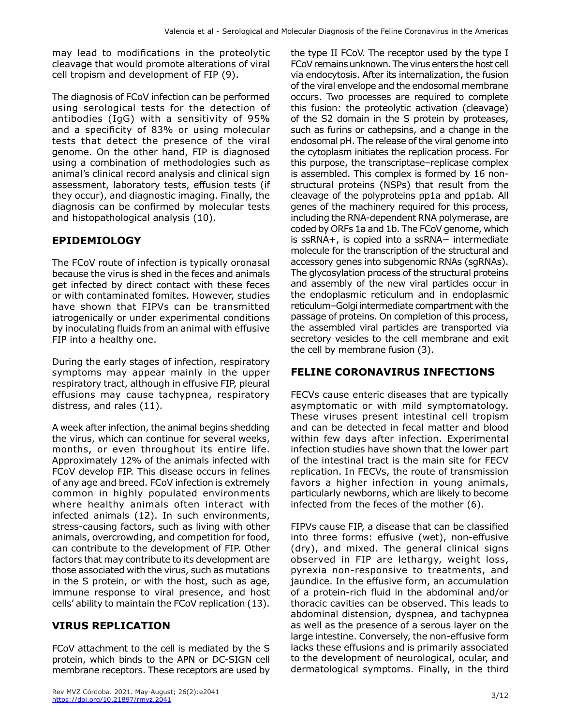may lead to modifications in the proteolytic cleavage that would promote alterations of viral cell tropism and development of FIP (9).

The diagnosis of FCoV infection can be performed using serological tests for the detection of antibodies (IgG) with a sensitivity of 95% and a specificity of 83% or using molecular tests that detect the presence of the viral genome. On the other hand, FIP is diagnosed using a combination of methodologies such as animal's clinical record analysis and clinical sign assessment, laboratory tests, effusion tests (if they occur), and diagnostic imaging. Finally, the diagnosis can be confirmed by molecular tests and histopathological analysis (10).

# **EPIDEMIOLOGY**

The FCoV route of infection is typically oronasal because the virus is shed in the feces and animals get infected by direct contact with these feces or with contaminated fomites. However, studies have shown that FIPVs can be transmitted iatrogenically or under experimental conditions by inoculating fluids from an animal with effusive FIP into a healthy one.

During the early stages of infection, respiratory symptoms may appear mainly in the upper respiratory tract, although in effusive FIP, pleural effusions may cause tachypnea, respiratory distress, and rales (11).

A week after infection, the animal begins shedding the virus, which can continue for several weeks, months, or even throughout its entire life. Approximately 12% of the animals infected with FCoV develop FIP. This disease occurs in felines of any age and breed. FCoV infection is extremely common in highly populated environments where healthy animals often interact with infected animals (12). In such environments, stress-causing factors, such as living with other animals, overcrowding, and competition for food, can contribute to the development of FIP. Other factors that may contribute to its development are those associated with the virus, such as mutations in the S protein, or with the host, such as age, immune response to viral presence, and host cells' ability to maintain the FCoV replication (13).

## **VIRUS REPLICATION**

FCoV attachment to the cell is mediated by the S protein, which binds to the APN or DC-SIGN cell membrane receptors. These receptors are used by

the type II FCoV. The receptor used by the type I FCoV remains unknown. The virus enters the host cell via endocytosis. After its internalization, the fusion of the viral envelope and the endosomal membrane occurs. Two processes are required to complete this fusion: the proteolytic activation (cleavage) of the S2 domain in the S protein by proteases, such as furins or cathepsins, and a change in the endosomal pH. The release of the viral genome into the cytoplasm initiates the replication process. For this purpose, the transcriptase–replicase complex is assembled. This complex is formed by 16 nonstructural proteins (NSPs) that result from the cleavage of the polyproteins pp1a and pp1ab. All genes of the machinery required for this process, including the RNA-dependent RNA polymerase, are coded by ORFs 1a and 1b. The FCoV genome, which is ssRNA+, is copied into a ssRNA− intermediate molecule for the transcription of the structural and accessory genes into subgenomic RNAs (sgRNAs). The glycosylation process of the structural proteins and assembly of the new viral particles occur in the endoplasmic reticulum and in endoplasmic reticulum–Golgi intermediate compartment with the passage of proteins. On completion of this process, the assembled viral particles are transported via secretory vesicles to the cell membrane and exit the cell by membrane fusion (3).

# **FELINE CORONAVIRUS INFECTIONS**

FECVs cause enteric diseases that are typically asymptomatic or with mild symptomatology. These viruses present intestinal cell tropism and can be detected in fecal matter and blood within few days after infection. Experimental infection studies have shown that the lower part of the intestinal tract is the main site for FECV replication. In FECVs, the route of transmission favors a higher infection in young animals, particularly newborns, which are likely to become infected from the feces of the mother (6).

FIPVs cause FIP, a disease that can be classified into three forms: effusive (wet), non-effusive (dry), and mixed. The general clinical signs observed in FIP are lethargy, weight loss, pyrexia non-responsive to treatments, and jaundice. In the effusive form, an accumulation of a protein-rich fluid in the abdominal and/or thoracic cavities can be observed. This leads to abdominal distension, dyspnea, and tachypnea as well as the presence of a serous layer on the large intestine. Conversely, the non-effusive form lacks these effusions and is primarily associated to the development of neurological, ocular, and dermatological symptoms. Finally, in the third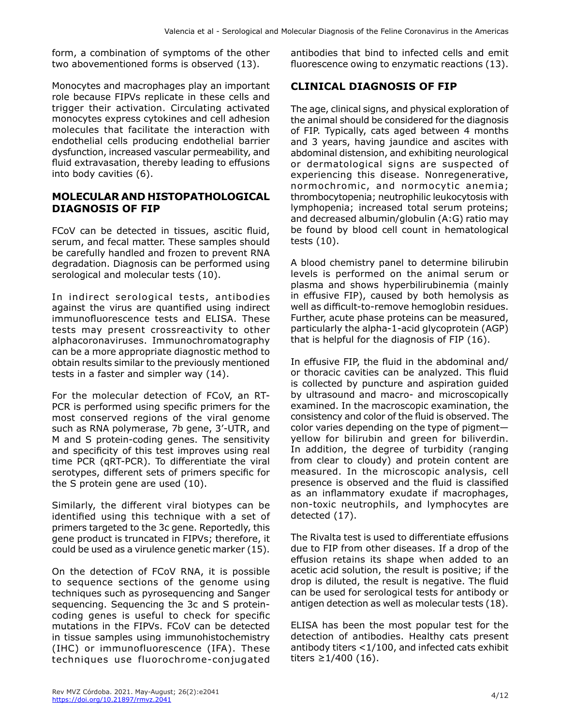form, a combination of symptoms of the other two abovementioned forms is observed (13).

Monocytes and macrophages play an important role because FIPVs replicate in these cells and trigger their activation. Circulating activated monocytes express cytokines and cell adhesion molecules that facilitate the interaction with endothelial cells producing endothelial barrier dysfunction, increased vascular permeability, and fluid extravasation, thereby leading to effusions into body cavities (6).

#### **MOLECULAR AND HISTOPATHOLOGICAL DIAGNOSIS OF FIP**

FCoV can be detected in tissues, ascitic fluid, serum, and fecal matter. These samples should be carefully handled and frozen to prevent RNA degradation. Diagnosis can be performed using serological and molecular tests (10).

In indirect serological tests, antibodies against the virus are quantified using indirect immunofluorescence tests and ELISA. These tests may present crossreactivity to other alphacoronaviruses. Immunochromatography can be a more appropriate diagnostic method to obtain results similar to the previously mentioned tests in a faster and simpler way (14).

For the molecular detection of FCoV, an RT-PCR is performed using specific primers for the most conserved regions of the viral genome such as RNA polymerase, 7b gene, 3'-UTR, and M and S protein-coding genes. The sensitivity and specificity of this test improves using real time PCR (qRT-PCR). To differentiate the viral serotypes, different sets of primers specific for the S protein gene are used (10).

Similarly, the different viral biotypes can be identified using this technique with a set of primers targeted to the 3c gene. Reportedly, this gene product is truncated in FIPVs; therefore, it could be used as a virulence genetic marker (15).

On the detection of FCoV RNA, it is possible to sequence sections of the genome using techniques such as pyrosequencing and Sanger sequencing. Sequencing the 3c and S proteincoding genes is useful to check for specific mutations in the FIPVs. FCoV can be detected in tissue samples using immunohistochemistry (IHC) or immunofluorescence (IFA). These techniques use fluorochrome-conjugated

antibodies that bind to infected cells and emit fluorescence owing to enzymatic reactions (13).

## **CLINICAL DIAGNOSIS OF FIP**

The age, clinical signs, and physical exploration of the animal should be considered for the diagnosis of FIP. Typically, cats aged between 4 months and 3 years, having jaundice and ascites with abdominal distension, and exhibiting neurological or dermatological signs are suspected of experiencing this disease. Nonregenerative, normochromic, and normocytic anemia; thrombocytopenia; neutrophilic leukocytosis with lymphopenia; increased total serum proteins; and decreased albumin/globulin (A:G) ratio may be found by blood cell count in hematological tests (10).

A blood chemistry panel to determine bilirubin levels is performed on the animal serum or plasma and shows hyperbilirubinemia (mainly in effusive FIP), caused by both hemolysis as well as difficult-to-remove hemoglobin residues. Further, acute phase proteins can be measured, particularly the alpha-1-acid glycoprotein (AGP) that is helpful for the diagnosis of FIP (16).

In effusive FIP, the fluid in the abdominal and/ or thoracic cavities can be analyzed. This fluid is collected by puncture and aspiration guided by ultrasound and macro- and microscopically examined. In the macroscopic examination, the consistency and color of the fluid is observed. The color varies depending on the type of pigment yellow for bilirubin and green for biliverdin. In addition, the degree of turbidity (ranging from clear to cloudy) and protein content are measured. In the microscopic analysis, cell presence is observed and the fluid is classified as an inflammatory exudate if macrophages, non-toxic neutrophils, and lymphocytes are detected (17).

The Rivalta test is used to differentiate effusions due to FIP from other diseases. If a drop of the effusion retains its shape when added to an acetic acid solution, the result is positive; if the drop is diluted, the result is negative. The fluid can be used for serological tests for antibody or antigen detection as well as molecular tests (18).

ELISA has been the most popular test for the detection of antibodies. Healthy cats present antibody titers <1/100, and infected cats exhibit titers ≥1/400 (16).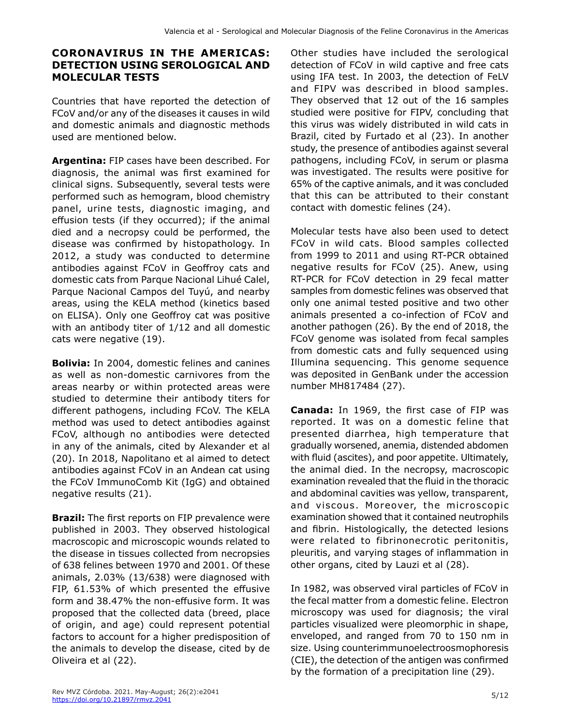## **CORONAVIRUS IN THE AMERICAS: DETECTION USING SEROLOGICAL AND MOLECULAR TESTS**

Countries that have reported the detection of FCoV and/or any of the diseases it causes in wild and domestic animals and diagnostic methods used are mentioned below.

**Argentina:** FIP cases have been described. For diagnosis, the animal was first examined for clinical signs. Subsequently, several tests were performed such as hemogram, blood chemistry panel, urine tests, diagnostic imaging, and effusion tests (if they occurred); if the animal died and a necropsy could be performed, the disease was confirmed by histopathology. In 2012, a study was conducted to determine antibodies against FCoV in Geoffroy cats and domestic cats from Parque Nacional Lihué Calel, Parque Nacional Campos del Tuyú, and nearby areas, using the KELA method (kinetics based on ELISA). Only one Geoffroy cat was positive with an antibody titer of 1/12 and all domestic cats were negative (19).

**Bolivia:** In 2004, domestic felines and canines as well as non-domestic carnivores from the areas nearby or within protected areas were studied to determine their antibody titers for different pathogens, including FCoV. The KELA method was used to detect antibodies against FCoV, although no antibodies were detected in any of the animals, cited by Alexander et al (20). In 2018, Napolitano et al aimed to detect antibodies against FCoV in an Andean cat using the FCoV ImmunoComb Kit (IgG) and obtained negative results (21).

**Brazil:** The first reports on FIP prevalence were published in 2003. They observed histological macroscopic and microscopic wounds related to the disease in tissues collected from necropsies of 638 felines between 1970 and 2001. Of these animals, 2.03% (13/638) were diagnosed with FIP, 61.53% of which presented the effusive form and 38.47% the non-effusive form. It was proposed that the collected data (breed, place of origin, and age) could represent potential factors to account for a higher predisposition of the animals to develop the disease, cited by de Oliveira et al (22).

Other studies have included the serological detection of FCoV in wild captive and free cats using IFA test. In 2003, the detection of FeLV and FIPV was described in blood samples. They observed that 12 out of the 16 samples studied were positive for FIPV, concluding that this virus was widely distributed in wild cats in Brazil, cited by Furtado et al (23). In another study, the presence of antibodies against several pathogens, including FCoV, in serum or plasma was investigated. The results were positive for 65% of the captive animals, and it was concluded that this can be attributed to their constant contact with domestic felines (24).

Molecular tests have also been used to detect FCoV in wild cats. Blood samples collected from 1999 to 2011 and using RT-PCR obtained negative results for FCoV (25). Anew, using RT-PCR for FCoV detection in 29 fecal matter samples from domestic felines was observed that only one animal tested positive and two other animals presented a co-infection of FCoV and another pathogen (26). By the end of 2018, the FCoV genome was isolated from fecal samples from domestic cats and fully sequenced using Illumina sequencing. This genome sequence was deposited in GenBank under the accession number MH817484 (27).

**Canada:** In 1969, the first case of FIP was reported. It was on a domestic feline that presented diarrhea, high temperature that gradually worsened, anemia, distended abdomen with fluid (ascites), and poor appetite. Ultimately, the animal died. In the necropsy, macroscopic examination revealed that the fluid in the thoracic and abdominal cavities was yellow, transparent, and viscous. Moreover, the microscopic examination showed that it contained neutrophils and fibrin. Histologically, the detected lesions were related to fibrinonecrotic peritonitis, pleuritis, and varying stages of inflammation in other organs, cited by Lauzi et al (28).

In 1982, was observed viral particles of FCoV in the fecal matter from a domestic feline. Electron microscopy was used for diagnosis; the viral particles visualized were pleomorphic in shape, enveloped, and ranged from 70 to 150 nm in size. Using counterimmunoelectroosmophoresis (CIE), the detection of the antigen was confirmed by the formation of a precipitation line (29).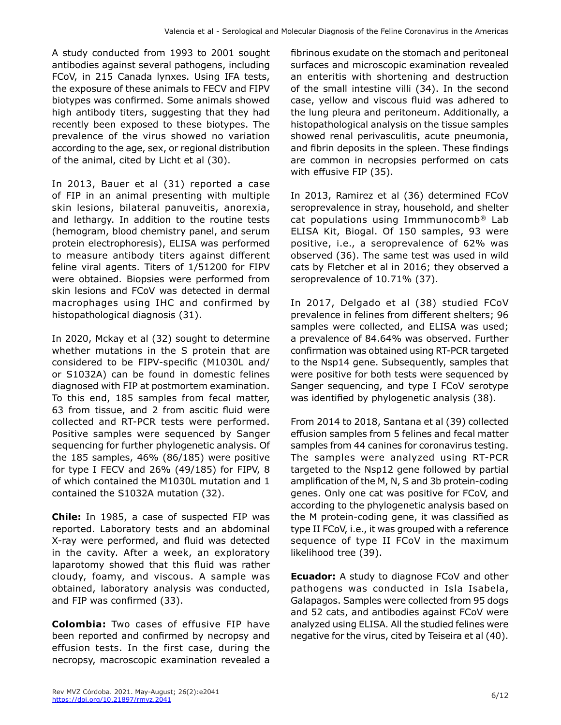A study conducted from 1993 to 2001 sought antibodies against several pathogens, including FCoV, in 215 Canada lynxes. Using IFA tests, the exposure of these animals to FECV and FIPV biotypes was confirmed. Some animals showed high antibody titers, suggesting that they had recently been exposed to these biotypes. The prevalence of the virus showed no variation according to the age, sex, or regional distribution of the animal, cited by Licht et al (30).

In 2013, Bauer et al (31) reported a case of FIP in an animal presenting with multiple skin lesions, bilateral panuveitis, anorexia, and lethargy. In addition to the routine tests (hemogram, blood chemistry panel, and serum protein electrophoresis), ELISA was performed to measure antibody titers against different feline viral agents. Titers of 1/51200 for FIPV were obtained. Biopsies were performed from skin lesions and FCoV was detected in dermal macrophages using IHC and confirmed by histopathological diagnosis (31).

In 2020, Mckay et al (32) sought to determine whether mutations in the S protein that are considered to be FIPV-specific (M1030L and/ or S1032A) can be found in domestic felines diagnosed with FIP at postmortem examination. To this end, 185 samples from fecal matter, 63 from tissue, and 2 from ascitic fluid were collected and RT-PCR tests were performed. Positive samples were sequenced by Sanger sequencing for further phylogenetic analysis. Of the 185 samples, 46% (86/185) were positive for type I FECV and 26% (49/185) for FIPV, 8 of which contained the M1030L mutation and 1 contained the S1032A mutation (32).

**Chile:** In 1985, a case of suspected FIP was reported. Laboratory tests and an abdominal X-ray were performed, and fluid was detected in the cavity. After a week, an exploratory laparotomy showed that this fluid was rather cloudy, foamy, and viscous. A sample was obtained, laboratory analysis was conducted, and FIP was confirmed (33).

**Colombia:** Two cases of effusive FIP have been reported and confirmed by necropsy and effusion tests. In the first case, during the necropsy, macroscopic examination revealed a

fibrinous exudate on the stomach and peritoneal surfaces and microscopic examination revealed an enteritis with shortening and destruction of the small intestine villi (34). In the second case, yellow and viscous fluid was adhered to the lung pleura and peritoneum. Additionally, a histopathological analysis on the tissue samples showed renal perivasculitis, acute pneumonia, and fibrin deposits in the spleen. These findings are common in necropsies performed on cats with effusive FIP (35).

In 2013, Ramirez et al (36) determined FCoV seroprevalence in stray, household, and shelter cat populations using Immmunocomb® Lab ELISA Kit, Biogal. Of 150 samples, 93 were positive, i.e., a seroprevalence of 62% was observed (36). The same test was used in wild cats by Fletcher et al in 2016; they observed a seroprevalence of 10.71% (37).

In 2017, Delgado et al (38) studied FCoV prevalence in felines from different shelters; 96 samples were collected, and ELISA was used; a prevalence of 84.64% was observed. Further confirmation was obtained using RT-PCR targeted to the Nsp14 gene. Subsequently, samples that were positive for both tests were sequenced by Sanger sequencing, and type I FCoV serotype was identified by phylogenetic analysis (38).

From 2014 to 2018, Santana et al (39) collected effusion samples from 5 felines and fecal matter samples from 44 canines for coronavirus testing. The samples were analyzed using RT-PCR targeted to the Nsp12 gene followed by partial amplification of the M, N, S and 3b protein-coding genes. Only one cat was positive for FCoV, and according to the phylogenetic analysis based on the M protein-coding gene, it was classified as type II FCoV, i.e., it was grouped with a reference sequence of type II FCoV in the maximum likelihood tree (39).

**Ecuador:** A study to diagnose FCoV and other pathogens was conducted in Isla Isabela, Galapagos. Samples were collected from 95 dogs and 52 cats, and antibodies against FCoV were analyzed using ELISA. All the studied felines were negative for the virus, cited by Teiseira et al (40).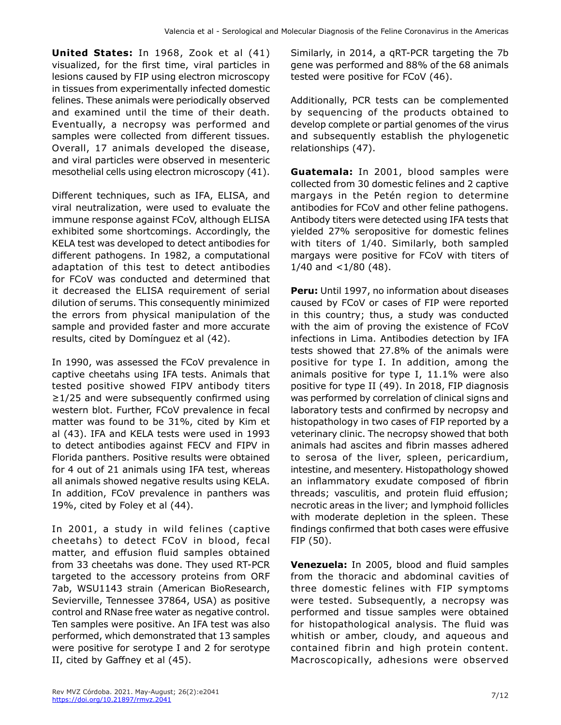**United States:** In 1968, Zook et al (41) visualized, for the first time, viral particles in lesions caused by FIP using electron microscopy in tissues from experimentally infected domestic felines. These animals were periodically observed and examined until the time of their death. Eventually, a necropsy was performed and samples were collected from different tissues. Overall, 17 animals developed the disease, and viral particles were observed in mesenteric mesothelial cells using electron microscopy (41).

Different techniques, such as IFA, ELISA, and viral neutralization, were used to evaluate the immune response against FCoV, although ELISA exhibited some shortcomings. Accordingly, the KELA test was developed to detect antibodies for different pathogens. In 1982, a computational adaptation of this test to detect antibodies for FCoV was conducted and determined that it decreased the ELISA requirement of serial dilution of serums. This consequently minimized the errors from physical manipulation of the sample and provided faster and more accurate results, cited by Domínguez et al (42).

In 1990, was assessed the FCoV prevalence in captive cheetahs using IFA tests. Animals that tested positive showed FIPV antibody titers  $\geq$ 1/25 and were subsequently confirmed using western blot. Further, FCoV prevalence in fecal matter was found to be 31%, cited by Kim et al (43). IFA and KELA tests were used in 1993 to detect antibodies against FECV and FIPV in Florida panthers. Positive results were obtained for 4 out of 21 animals using IFA test, whereas all animals showed negative results using KELA. In addition, FCoV prevalence in panthers was 19%, cited by Foley et al (44).

In 2001, a study in wild felines (captive cheetahs) to detect FCoV in blood, fecal matter, and effusion fluid samples obtained from 33 cheetahs was done. They used RT-PCR targeted to the accessory proteins from ORF 7ab, WSU1143 strain (American BioResearch, Sevierville, Tennessee 37864, USA) as positive control and RNase free water as negative control. Ten samples were positive. An IFA test was also performed, which demonstrated that 13 samples were positive for serotype I and 2 for serotype II, cited by Gaffney et al (45).

Similarly, in 2014, a qRT-PCR targeting the 7b gene was performed and 88% of the 68 animals tested were positive for FCoV (46).

Additionally, PCR tests can be complemented by sequencing of the products obtained to develop complete or partial genomes of the virus and subsequently establish the phylogenetic relationships (47).

**Guatemala:** In 2001, blood samples were collected from 30 domestic felines and 2 captive margays in the Petén region to determine antibodies for FCoV and other feline pathogens. Antibody titers were detected using IFA tests that yielded 27% seropositive for domestic felines with titers of 1/40. Similarly, both sampled margays were positive for FCoV with titers of 1/40 and  $<$ 1/80 (48).

**Peru:** Until 1997, no information about diseases caused by FCoV or cases of FIP were reported in this country; thus, a study was conducted with the aim of proving the existence of FCoV infections in Lima. Antibodies detection by IFA tests showed that 27.8% of the animals were positive for type I. In addition, among the animals positive for type I, 11.1% were also positive for type II (49). In 2018, FIP diagnosis was performed by correlation of clinical signs and laboratory tests and confirmed by necropsy and histopathology in two cases of FIP reported by a veterinary clinic. The necropsy showed that both animals had ascites and fibrin masses adhered to serosa of the liver, spleen, pericardium, intestine, and mesentery. Histopathology showed an inflammatory exudate composed of fibrin threads; vasculitis, and protein fluid effusion; necrotic areas in the liver; and lymphoid follicles with moderate depletion in the spleen. These findings confirmed that both cases were effusive FIP (50).

**Venezuela:** In 2005, blood and fluid samples from the thoracic and abdominal cavities of three domestic felines with FIP symptoms were tested. Subsequently, a necropsy was performed and tissue samples were obtained for histopathological analysis. The fluid was whitish or amber, cloudy, and aqueous and contained fibrin and high protein content. Macroscopically, adhesions were observed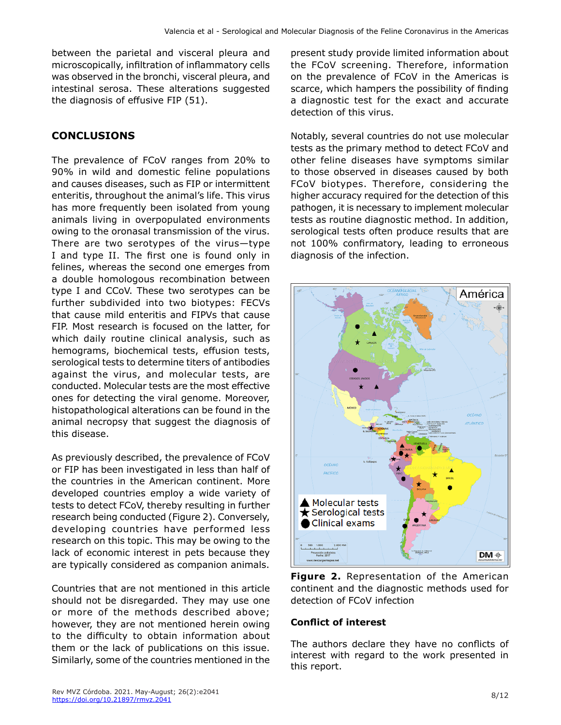between the parietal and visceral pleura and microscopically, infiltration of inflammatory cells was observed in the bronchi, visceral pleura, and intestinal serosa. These alterations suggested the diagnosis of effusive FIP (51).

## **CONCLUSIONS**

The prevalence of FCoV ranges from 20% to 90% in wild and domestic feline populations and causes diseases, such as FIP or intermittent enteritis, throughout the animal's life. This virus has more frequently been isolated from young animals living in overpopulated environments owing to the oronasal transmission of the virus. There are two serotypes of the virus—type I and type II. The first one is found only in felines, whereas the second one emerges from a double homologous recombination between type I and CCoV. These two serotypes can be further subdivided into two biotypes: FECVs that cause mild enteritis and FIPVs that cause FIP. Most research is focused on the latter, for which daily routine clinical analysis, such as hemograms, biochemical tests, effusion tests, serological tests to determine titers of antibodies against the virus, and molecular tests, are conducted. Molecular tests are the most effective ones for detecting the viral genome. Moreover, histopathological alterations can be found in the animal necropsy that suggest the diagnosis of this disease.

As previously described, the prevalence of FCoV or FIP has been investigated in less than half of the countries in the American continent. More developed countries employ a wide variety of tests to detect FCoV, thereby resulting in further research being conducted (Figure 2). Conversely, developing countries have performed less research on this topic. This may be owing to the lack of economic interest in pets because they are typically considered as companion animals.

Countries that are not mentioned in this article should not be disregarded. They may use one or more of the methods described above; however, they are not mentioned herein owing to the difficulty to obtain information about them or the lack of publications on this issue. Similarly, some of the countries mentioned in the present study provide limited information about the FCoV screening. Therefore, information on the prevalence of FCoV in the Americas is scarce, which hampers the possibility of finding a diagnostic test for the exact and accurate detection of this virus.

Notably, several countries do not use molecular tests as the primary method to detect FCoV and other feline diseases have symptoms similar to those observed in diseases caused by both FCoV biotypes. Therefore, considering the higher accuracy required for the detection of this pathogen, it is necessary to implement molecular tests as routine diagnostic method. In addition, serological tests often produce results that are not 100% confirmatory, leading to erroneous diagnosis of the infection.



**Figure 2.** Representation of the American continent and the diagnostic methods used for detection of FCoV infection

#### **Conflict of interest**

The authors declare they have no conflicts of interest with regard to the work presented in this report.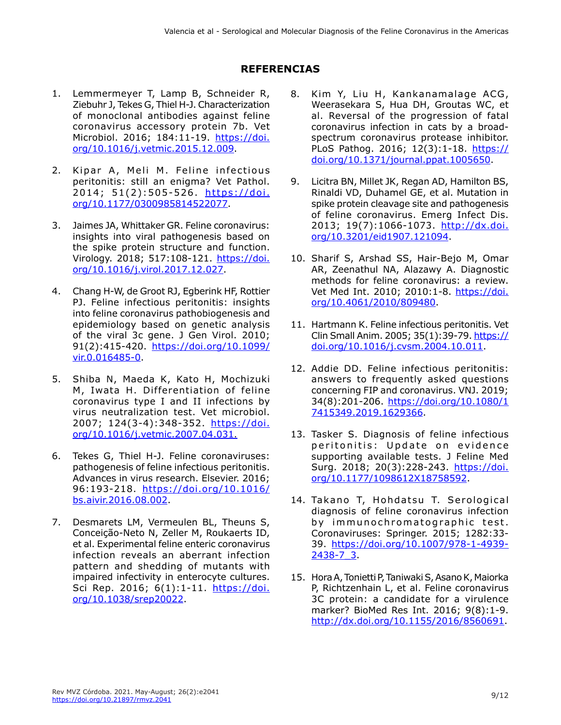## **REFERENCIAS**

- 1. Lemmermeyer T, Lamp B, Schneider R, Ziebuhr J, Tekes G, Thiel H-J. Characterization of monoclonal antibodies against feline coronavirus accessory protein 7b. Vet Microbiol. 2016; 184:11-19. [https://doi.](https://doi.org/10.1016/j.vetmic.2015.12.009) [org/10.1016/j.vetmic.2015.12.009](https://doi.org/10.1016/j.vetmic.2015.12.009).
- 2. Kipar A, Meli M. Feline infectious peritonitis: still an enigma? Vet Pathol. 2014; 51(2):505-526. [https://doi.](https://doi.org/10.1177/0300985814522077) [org/10.1177/0300985814522077.](https://doi.org/10.1177/0300985814522077)
- 3. Jaimes JA, Whittaker GR. Feline coronavirus: insights into viral pathogenesis based on the spike protein structure and function. Virology. 2018; 517:108-121. [https://doi.](https://doi.org/10.1016/j.virol.2017.12.027) [org/10.1016/j.virol.2017.12.027.](https://doi.org/10.1016/j.virol.2017.12.027)
- 4. Chang H-W, de Groot RJ, Egberink HF, Rottier PJ. Feline infectious peritonitis: insights into feline coronavirus pathobiogenesis and epidemiology based on genetic analysis of the viral 3c gene. J Gen Virol. 2010; 91(2):415-420. [https://doi.org/10.1099/](https://doi.org/10.1099/vir.0.016485-0) [vir.0.016485-0.](https://doi.org/10.1099/vir.0.016485-0)
- 5. Shiba N, Maeda K, Kato H, Mochizuki M, Iwata H. Differentiation of feline coronavirus type I and II infections by virus neutralization test. Vet microbiol. 2007; 124(3-4):348-352. [https://doi.](https://doi.org/10.1016/j.vetmic.2007.04.031) [org/10.1016/j.vetmic.2007.04.031](https://doi.org/10.1016/j.vetmic.2007.04.031).
- 6. Tekes G, Thiel H-J. Feline coronaviruses: pathogenesis of feline infectious peritonitis. Advances in virus research. Elsevier. 2016; 96:193-218. [https://doi.org/10.1016/](https://doi.org/10.1016/bs.aivir.2016.08.002) [bs.aivir.2016.08.002.](https://doi.org/10.1016/bs.aivir.2016.08.002)
- 7. Desmarets LM, Vermeulen BL, Theuns S, Conceição-Neto N, Zeller M, Roukaerts ID, et al. Experimental feline enteric coronavirus infection reveals an aberrant infection pattern and shedding of mutants with impaired infectivity in enterocyte cultures. Sci Rep. 2016; 6(1):1-11. [https://doi.](https://doi.org/10.1038/srep20022) [org/10.1038/srep20022](https://doi.org/10.1038/srep20022).
- 8. Kim Y, Liu H, Kankanamalage ACG, Weerasekara S, Hua DH, Groutas WC, et al. Reversal of the progression of fatal coronavirus infection in cats by a broadspectrum coronavirus protease inhibitor. PLoS Pathog. 2016; 12(3):1-18. [https://](https://doi.org/10.1371/journal.ppat.1005650) [doi.org/10.1371/journal.ppat.1005650](https://doi.org/10.1371/journal.ppat.1005650).
- 9. Licitra BN, Millet JK, Regan AD, Hamilton BS, Rinaldi VD, Duhamel GE, et al. Mutation in spike protein cleavage site and pathogenesis of feline coronavirus. Emerg Infect Dis. 2013; 19(7):1066-1073. [http://dx.doi.](http://dx.doi.org/10.3201/eid1907.121094) [org/10.3201/eid1907.121094.](http://dx.doi.org/10.3201/eid1907.121094)
- 10. Sharif S, Arshad SS, Hair-Bejo M, Omar AR, Zeenathul NA, Alazawy A. Diagnostic methods for feline coronavirus: a review. Vet Med Int. 2010; 2010:1-8. [https://doi.](https://doi.org/10.4061/2010/809480) [org/10.4061/2010/809480.](https://doi.org/10.4061/2010/809480)
- 11. Hartmann K. Feline infectious peritonitis. Vet Clin Small Anim. 2005; 35(1):39-79. [https://](https://doi.org/10.1016/j.cvsm.2004.10.011) [doi.org/10.1016/j.cvsm.2004.10.011](https://doi.org/10.1016/j.cvsm.2004.10.011).
- 12. Addie DD. Feline infectious peritonitis: answers to frequently asked questions concerning FIP and coronavirus. VNJ. 2019; 34(8):201-206. [https://doi.org/10.1080/1](https://doi.org/10.1080/17415349.2019.1629366) [7415349.2019.1629366.](https://doi.org/10.1080/17415349.2019.1629366)
- 13. Tasker S. Diagnosis of feline infectious peritonitis: Update on evidence supporting available tests. J Feline Med Surg. 2018; 20(3):228-243. [https://doi.](https://doi.org/10.1177/1098612X18758592) [org/10.1177/1098612X18758592.](https://doi.org/10.1177/1098612X18758592)
- 14. Takano T, Hohdatsu T. Serological diagnosis of feline coronavirus infection by immunochromatographic test. Coronaviruses: Springer. 2015; 1282:33- 39. https://doi.org/10.1007/978-1-4939- 2438-7<sub>3</sub>
- 15. Hora A, Tonietti P, Taniwaki S, Asano K, Maiorka P, Richtzenhain L, et al. Feline coronavirus 3C protein: a candidate for a virulence marker? BioMed Res Int. 2016; 9(8):1-9. <http://dx.doi.org/10.1155/2016/8560691>.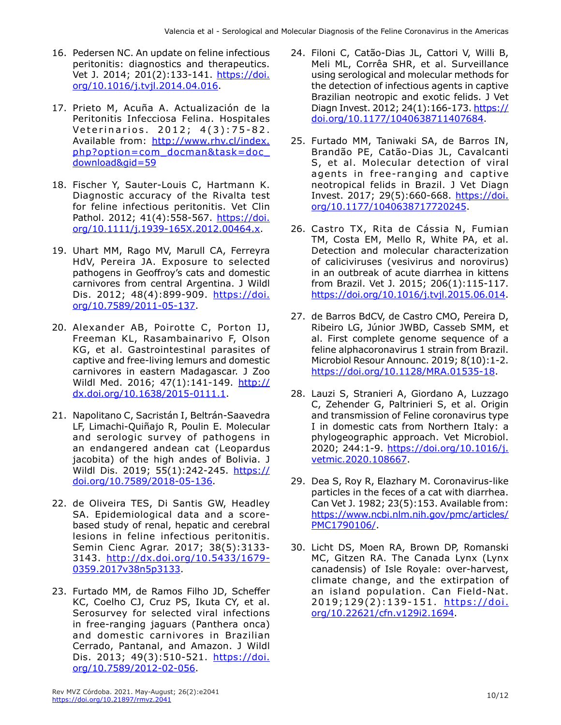- 16. Pedersen NC. An update on feline infectious peritonitis: diagnostics and therapeutics. Vet J. 2014; 201(2):133-141. [https://doi.](https://doi.org/10.1016/j.tvjl.2014.04.016) [org/10.1016/j.tvjl.2014.04.016](https://doi.org/10.1016/j.tvjl.2014.04.016).
- 17. Prieto M, Acuña A. Actualización de la Peritonitis Infecciosa Felina. Hospitales Veterinarios. 2012; 4(3):75-82. Available from: http://www.rhv.cl/index. php?option=com\_docman&task=doc\_ download&gid=59
- 18. Fischer Y, Sauter-Louis C, Hartmann K. Diagnostic accuracy of the Rivalta test for feline infectious peritonitis. Vet Clin Pathol. 2012; 41(4):558-567. https://doi. org/10.1111/j.1939-165X.2012.00464.x.
- 19. Uhart MM, Rago MV, Marull CA, Ferreyra HdV, Pereira JA. Exposure to selected pathogens in Geoffroy's cats and domestic carnivores from central Argentina. J Wildl Dis. 2012; 48(4):899-909. [https://doi.](https://doi.org/10.7589/2011-05-137) [org/10.7589/2011-05-137](https://doi.org/10.7589/2011-05-137).
- 20. Alexander AB, Poirotte C, Porton IJ, Freeman KL, Rasambainarivo F, Olson KG, et al. Gastrointestinal parasites of captive and free-living lemurs and domestic carnivores in eastern Madagascar. J Zoo Wildl Med. 2016; 47(1):141-149. [http://](http://dx.doi.org/10.1638/2015-0111.1) [dx.doi.org/10.1638/2015-0111.1.](http://dx.doi.org/10.1638/2015-0111.1)
- 21. Napolitano C, Sacristán I, Beltrán-Saavedra LF, Limachi-Quiñajo R, Poulin E. Molecular and serologic survey of pathogens in an endangered andean cat (Leopardus jacobita) of the high andes of Bolivia. J Wildl Dis. 2019; 55(1):242-245. [https://](https://doi.org/10.7589/2018-05-136) [doi.org/10.7589/2018-05-136.](https://doi.org/10.7589/2018-05-136)
- 22. de Oliveira TES, Di Santis GW, Headley SA. Epidemiological data and a scorebased study of renal, hepatic and cerebral lesions in feline infectious peritonitis. Semin Cienc Agrar. 2017; 38(5):3133- 3143. [http://dx.doi.org/10.5433/1679-](http://dx.doi.org/10.5433/1679-0359.2017v38n5p3133) [0359.2017v38n5p3133.](http://dx.doi.org/10.5433/1679-0359.2017v38n5p3133)
- 23. Furtado MM, de Ramos Filho JD, Scheffer KC, Coelho CJ, Cruz PS, Ikuta CY, et al. Serosurvey for selected viral infections in free-ranging jaguars (Panthera onca) and domestic carnivores in Brazilian Cerrado, Pantanal, and Amazon. J Wildl Dis. 2013; 49(3):510-521. [https://doi.](https://doi.org/10.7589/2012-02-056) [org/10.7589/2012-02-056](https://doi.org/10.7589/2012-02-056).
- 24. Filoni C, Catão-Dias JL, Cattori V, Willi B, Meli ML, Corrêa SHR, et al. Surveillance using serological and molecular methods for the detection of infectious agents in captive Brazilian neotropic and exotic felids. J Vet Diagn Invest. 2012; 24(1):166-173. [https://](https://doi.org/10.1177/1040638711407684) [doi.org/10.1177/1040638711407684.](https://doi.org/10.1177/1040638711407684)
- 25. Furtado MM, Taniwaki SA, de Barros IN, Brandão PE, Catão-Dias JL, Cavalcanti S, et al. Molecular detection of viral agents in free-ranging and captive neotropical felids in Brazil. J Vet Diagn Invest. 2017; 29(5):660-668. [https://doi.](https://doi.org/10.1177/1040638717720245) [org/10.1177/1040638717720245](https://doi.org/10.1177/1040638717720245).
- 26. Castro TX, Rita de Cássia N, Fumian TM, Costa EM, Mello R, White PA, et al. Detection and molecular characterization of caliciviruses (vesivirus and norovirus) in an outbreak of acute diarrhea in kittens from Brazil. Vet J. 2015; 206(1):115-117. [https://doi.org/10.1016/j.tvjl.2015.06.014.](https://doi.org/10.1016/j.tvjl.2015.06.014)
- 27. de Barros BdCV, de Castro CMO, Pereira D, Ribeiro LG, Júnior JWBD, Casseb SMM, et al. First complete genome sequence of a feline alphacoronavirus 1 strain from Brazil. Microbiol Resour Announc. 2019; 8(10):1-2. https://doi.org/10.1128/MRA.01535-18.
- 28. Lauzi S, Stranieri A, Giordano A, Luzzago C, Zehender G, Paltrinieri S, et al. Origin and transmission of Feline coronavirus type I in domestic cats from Northern Italy: a phylogeographic approach. Vet Microbiol. 2020; 244:1-9. [https://doi.org/10.1016/j.](https://doi.org/10.1016/j.vetmic.2020.108667) [vetmic.2020.108667](https://doi.org/10.1016/j.vetmic.2020.108667).
- 29. Dea S, Roy R, Elazhary M. Coronavirus-like particles in the feces of a cat with diarrhea. Can Vet J. 1982; 23(5):153. Available from: https://www.ncbi.nlm.nih.gov/pmc/articles/ PMC1790106/.
- 30. Licht DS, Moen RA, Brown DP, Romanski MC, Gitzen RA. The Canada Lynx (Lynx canadensis) of Isle Royale: over-harvest, climate change, and the extirpation of an island population. Can Field-Nat. 2019;129(2):139-151. https://doi. org/10.22621/cfn.v129i2.1694.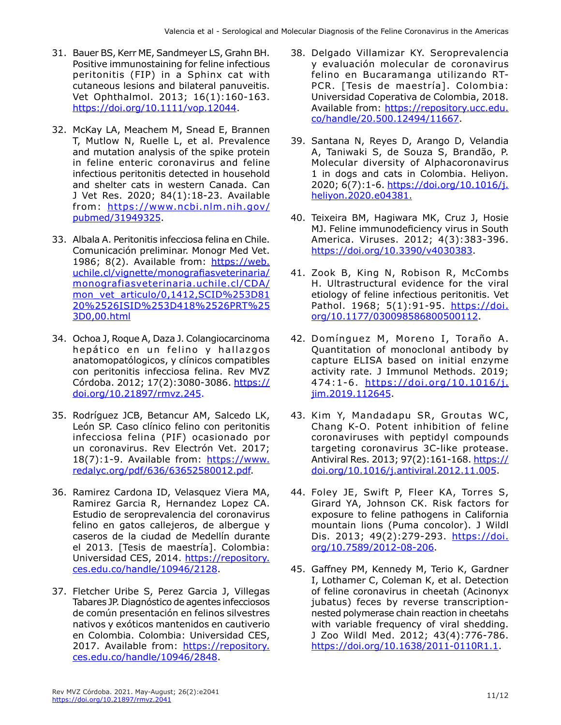- 31. Bauer BS, Kerr ME, Sandmeyer LS, Grahn BH. Positive immunostaining for feline infectious peritonitis (FIP) in a Sphinx cat with cutaneous lesions and bilateral panuveitis. Vet Ophthalmol. 2013; 16(1):160-163. <https://doi.org/10.1111/vop.12044>.
- 32. McKay LA, Meachem M, Snead E, Brannen T, Mutlow N, Ruelle L, et al. Prevalence and mutation analysis of the spike protein in feline enteric coronavirus and feline infectious peritonitis detected in household and shelter cats in western Canada. Can J Vet Res. 2020; 84(1):18-23. Available from: https://www.ncbi.nlm.nih.gov/ pubmed/31949325.
- 33. Albala A. Peritonitis infecciosa felina en Chile. Comunicación preliminar. Monogr Med Vet. 1986; 8(2). Available from: https://web. uchile.cl/vignette/monografiasveterinaria/ monografiasveterinaria.uchile.cl/CDA/ mon\_vet\_articulo/0,1412,SCID%253D81 20%2526ISID%253D418%2526PRT%25 3D0,00.html
- 34. Ochoa J, Roque A, Daza J. Colangiocarcinoma hepático en un felino y hallazgos anatomopatólogicos, y clínicos compatibles con peritonitis infecciosa felina. Rev MVZ Córdoba. 2012; 17(2):3080-3086. [https://](https://doi.org/10.21897/rmvz.245) [doi.org/10.21897/rmvz.245.](https://doi.org/10.21897/rmvz.245)
- 35. Rodríguez JCB, Betancur AM, Salcedo LK, León SP. Caso clínico felino con peritonitis infecciosa felina (PIF) ocasionado por un coronavirus. Rev Electrón Vet. 2017; 18(7):1-9. Available from: https://www. redalyc.org/pdf/636/63652580012.pdf.
- 36. Ramirez Cardona ID, Velasquez Viera MA, Ramirez Garcia R, Hernandez Lopez CA. Estudio de seroprevalencia del coronavirus felino en gatos callejeros, de albergue y caseros de la ciudad de Medellín durante el 2013. [Tesis de maestría]. Colombia: Universidad CES, 2014. https://repository. ces.edu.co/handle/10946/2128.
- 37. Fletcher Uribe S, Perez Garcia J, Villegas Tabares JP. Diagnóstico de agentes infecciosos de común presentación en felinos silvestres nativos y exóticos mantenidos en cautiverio en Colombia. Colombia: Universidad CES, 2017. Available from: https://repository. ces.edu.co/handle/10946/2848.
- 38. Delgado Villamizar KY. Seroprevalencia y evaluación molecular de coronavirus felino en Bucaramanga utilizando RT-PCR. [Tesis de maestría]. Colombia: Universidad Coperativa de Colombia, 2018. Available from: [https://repository.ucc.edu.](https://repository.ucc.edu.co/handle/20.500.12494/11667) [co/handle/20.500.12494/11667](https://repository.ucc.edu.co/handle/20.500.12494/11667).
- 39. Santana N, Reyes D, Arango D, Velandia A, Taniwaki S, de Souza S, Brandão, P. Molecular diversity of Alphacoronavirus 1 in dogs and cats in Colombia. Heliyon. 2020; 6(7):1-6. [https://doi.org/10.1016/j.](https://doi.org/10.1016/j.heliyon.2020.e04381) [heliyon.2020.e04381](https://doi.org/10.1016/j.heliyon.2020.e04381).
- 40. Teixeira BM, Hagiwara MK, Cruz J, Hosie MJ. Feline immunodeficiency virus in South America. Viruses. 2012; 4(3):383-396. [https://doi.org/10.3390/v4030383.](https://doi.org/10.3390/v4030383)
- 41. Zook B, King N, Robison R, McCombs H. Ultrastructural evidence for the viral etiology of feline infectious peritonitis. Vet Pathol. 1968; 5(1):91-95. [https://doi.](https://doi.org/10.1177/030098586800500112) [org/10.1177/030098586800500112.](https://doi.org/10.1177/030098586800500112)
- 42. Domínguez M, Moreno I, Toraño A. Quantitation of monoclonal antibody by capture ELISA based on initial enzyme activity rate. J Immunol Methods. 2019; 474:1-6. [https://doi.org/10.1016/j.](https://doi.org/10.1016/j.jim.2019.112645) [jim.2019.112645.](https://doi.org/10.1016/j.jim.2019.112645)
- 43. Kim Y, Mandadapu SR, Groutas WC, Chang K-O. Potent inhibition of feline coronaviruses with peptidyl compounds targeting coronavirus 3C-like protease. Antiviral Res. 2013; 97(2):161-168. [https://](https://doi.org/10.1016/j.antiviral.2012.11.005) [doi.org/10.1016/j.antiviral.2012.11.005.](https://doi.org/10.1016/j.antiviral.2012.11.005)
- 44. Foley JE, Swift P, Fleer KA, Torres S, Girard YA, Johnson CK. Risk factors for exposure to feline pathogens in California mountain lions (Puma concolor). J Wildl Dis. 2013; 49(2):279-293. [https://doi.](https://doi.org/10.7589/2012-08-206) [org/10.7589/2012-08-206.](https://doi.org/10.7589/2012-08-206)
- 45. Gaffney PM, Kennedy M, Terio K, Gardner I, Lothamer C, Coleman K, et al. Detection of feline coronavirus in cheetah (Acinonyx jubatus) feces by reverse transcriptionnested polymerase chain reaction in cheetahs with variable frequency of viral shedding. J Zoo Wildl Med. 2012; 43(4):776-786. <https://doi.org/10.1638/2011-0110R1.1>.